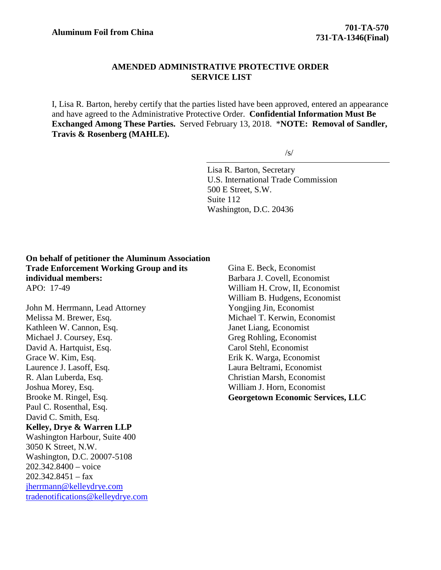# **AMENDED ADMINISTRATIVE PROTECTIVE ORDER SERVICE LIST**

I, Lisa R. Barton, hereby certify that the parties listed have been approved, entered an appearance and have agreed to the Administrative Protective Order. **Confidential Information Must Be Exchanged Among These Parties.** Served February 13, 2018. \***NOTE: Removal of Sandler, Travis & Rosenberg (MAHLE).**

 $\sqrt{s}$ 

Lisa R. Barton, Secretary U.S. International Trade Commission 500 E Street, S.W. Suite 112 Washington, D.C. 20436

**On behalf of petitioner the Aluminum Association Trade Enforcement Working Group and its individual members:** APO: 17-49

John M. Herrmann, Lead Attorney Melissa M. Brewer, Esq. Kathleen W. Cannon, Esq. Michael J. Coursey, Esq. David A. Hartquist, Esq. Grace W. Kim, Esq. Laurence J. Lasoff, Esq. R. Alan Luberda, Esq. Joshua Morey, Esq. Brooke M. Ringel, Esq. Paul C. Rosenthal, Esq. David C. Smith, Esq. **Kelley, Drye & Warren LLP** Washington Harbour, Suite 400 3050 K Street, N.W. Washington, D.C. 20007-5108 202.342.8400 – voice  $202.342.8451 - fax$ [jherrmann@kelleydrye.com](mailto:jherrmann@kelleydrye.com) [tradenotifications@kelleydrye.com](mailto:tradenotifications@kelleydrye.com) Gina E. Beck, Economist Barbara J. Covell, Economist William H. Crow, II, Economist William B. Hudgens, Economist Yongjing Jin, Economist Michael T. Kerwin, Economist Janet Liang, Economist Greg Rohling, Economist Carol Stehl, Economist Erik K. Warga, Economist Laura Beltrami, Economist Christian Marsh, Economist William J. Horn, Economist **Georgetown Economic Services, LLC**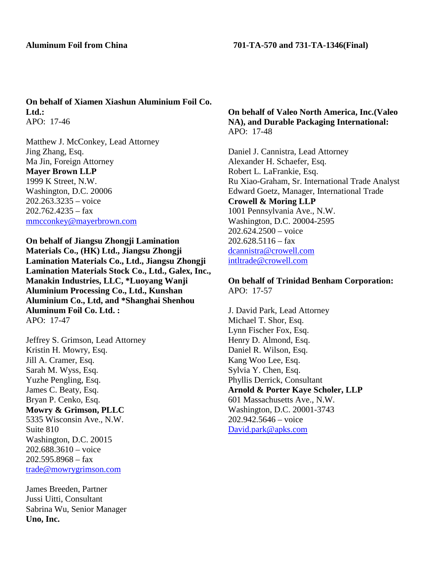## **Aluminum Foil from China 701-TA-570 and 731-TA-1346(Final)**

**On behalf of Xiamen Xiashun Aluminium Foil Co. Ltd.:** APO: 17-46

Matthew J. McConkey, Lead Attorney Jing Zhang, Esq. Ma Jin, Foreign Attorney **Mayer Brown LLP** 1999 K Street, N.W. Washington, D.C. 20006 202.263.3235 – voice  $202.762.4235 - fax$ [mmcconkey@mayerbrown.com](mailto:mmcconkey@mayerbrown.com)

**On behalf of Jiangsu Zhongji Lamination Materials Co., (HK) Ltd., Jiangsu Zhongji Lamination Materials Co., Ltd., Jiangsu Zhongji Lamination Materials Stock Co., Ltd., Galex, Inc., Manakin Industries, LLC, \*Luoyang Wanji Aluminium Processing Co., Ltd., Kunshan Aluminium Co., Ltd, and \*Shanghai Shenhou Aluminum Foil Co. Ltd. :** APO: 17-47

Jeffrey S. Grimson, Lead Attorney Kristin H. Mowry, Esq. Jill A. Cramer, Esq. Sarah M. Wyss, Esq. Yuzhe Pengling, Esq. James C. Beaty, Esq. Bryan P. Cenko, Esq. **Mowry & Grimson, PLLC** 5335 Wisconsin Ave., N.W. Suite 810 Washington, D.C. 20015 202.688.3610 – voice  $202.595.8968 - fax$ [trade@mowrygrimson.com](mailto:trade@mowrygrimson.com)

James Breeden, Partner Jussi Uitti, Consultant Sabrina Wu, Senior Manager **Uno, Inc.**

## **On behalf of Valeo North America, Inc.(Valeo NA), and Durable Packaging International:** APO: 17-48

Daniel J. Cannistra, Lead Attorney Alexander H. Schaefer, Esq. Robert L. LaFrankie, Esq. Ru Xiao-Graham, Sr. International Trade Analyst Edward Goetz, Manager, International Trade **Crowell & Moring LLP** 1001 Pennsylvania Ave., N.W. Washington, D.C. 20004-2595  $202.624.2500 - \text{voice}$  $202.628.5116 -$ fax [dcannistra@crowell.com](mailto:dcannistra@crowell.com) [intltrade@crowell.com](mailto:intltrade@crowell.com)

**On behalf of Trinidad Benham Corporation:** APO: 17-57

J. David Park, Lead Attorney Michael T. Shor, Esq. Lynn Fischer Fox, Esq. Henry D. Almond, Esq. Daniel R. Wilson, Esq. Kang Woo Lee, Esq. Sylvia Y. Chen, Esq. Phyllis Derrick, Consultant **Arnold & Porter Kaye Scholer, LLP** 601 Massachusetts Ave., N.W. Washington, D.C. 20001-3743 202.942.5646 – voice [David.park@apks.com](mailto:David.park@apks.com)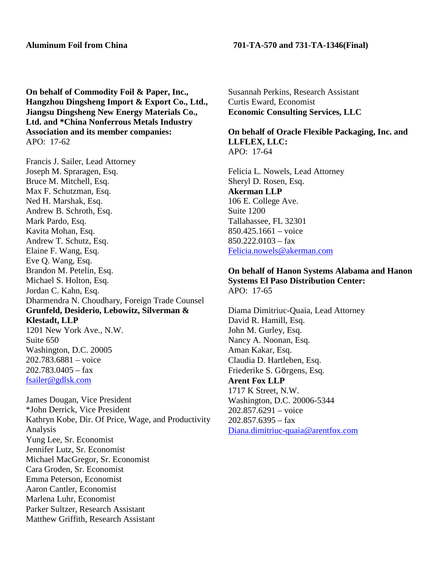**On behalf of Commodity Foil & Paper, Inc., Hangzhou Dingsheng Import & Export Co., Ltd., Jiangsu Dingsheng New Energy Materials Co., Ltd. and \*China Nonferrous Metals Industry Association and its member companies:** APO: 17-62

Francis J. Sailer, Lead Attorney Joseph M. Spraragen, Esq. Bruce M. Mitchell, Esq. Max F. Schutzman, Esq. Ned H. Marshak, Esq. Andrew B. Schroth, Esq. Mark Pardo, Esq. Kavita Mohan, Esq. Andrew T. Schutz, Esq. Elaine F. Wang, Esq. Eve Q. Wang, Esq. Brandon M. Petelin, Esq. Michael S. Holton, Esq. Jordan C. Kahn, Esq. Dharmendra N. Choudhary, Foreign Trade Counsel **Grunfeld, Desiderio, Lebowitz, Silverman & Klestadt, LLP** 1201 New York Ave., N.W. Suite 650 Washington, D.C. 20005 202.783.6881 – voice

James Dougan, Vice President \*John Derrick, Vice President Kathryn Kobe, Dir. Of Price, Wage, and Productivity Analysis Yung Lee, Sr. Economist Jennifer Lutz, Sr. Economist Michael MacGregor, Sr. Economist Cara Groden, Sr. Economist Emma Peterson, Economist Aaron Cantler, Economist Marlena Luhr, Economist Parker Sultzer, Research Assistant Matthew Griffith, Research Assistant

 $202.783.0405 - fax$ [fsailer@gdlsk.com](mailto:fsailer@gdlsk.com)

# **Aluminum Foil from China 701-TA-570 and 731-TA-1346(Final)**

Susannah Perkins, Research Assistant Curtis Eward, Economist **Economic Consulting Services, LLC**

## **On behalf of Oracle Flexible Packaging, Inc. and LLFLEX, LLC:** APO: 17-64

Felicia L. Nowels, Lead Attorney Sheryl D. Rosen, Esq. **Akerman LLP** 106 E. College Ave. Suite 1200 Tallahassee, FL 32301 850.425.1661 – voice 850.222.0103 – fax [Felicia.nowels@akerman.com](mailto:Felicia.nowels@akerman.com)

### **On behalf of Hanon Systems Alabama and Hanon Systems El Paso Distribution Center:** APO: 17-65

Diama Dimitriuc-Quaia, Lead Attorney David R. Hamill, Esq. John M. Gurley, Esq. Nancy A. Noonan, Esq. Aman Kakar, Esq. Claudia D. Hartleben, Esq. Friederike S. Görgens, Esq. **Arent Fox LLP** 1717 K Street, N.W. Washington, D.C. 20006-5344 202.857.6291 – voice  $202.857.6395 - fax$ [Diana.dimitriuc-quaia@arentfox.com](mailto:Diana.dimitriuc-quaia@arentfox.com)